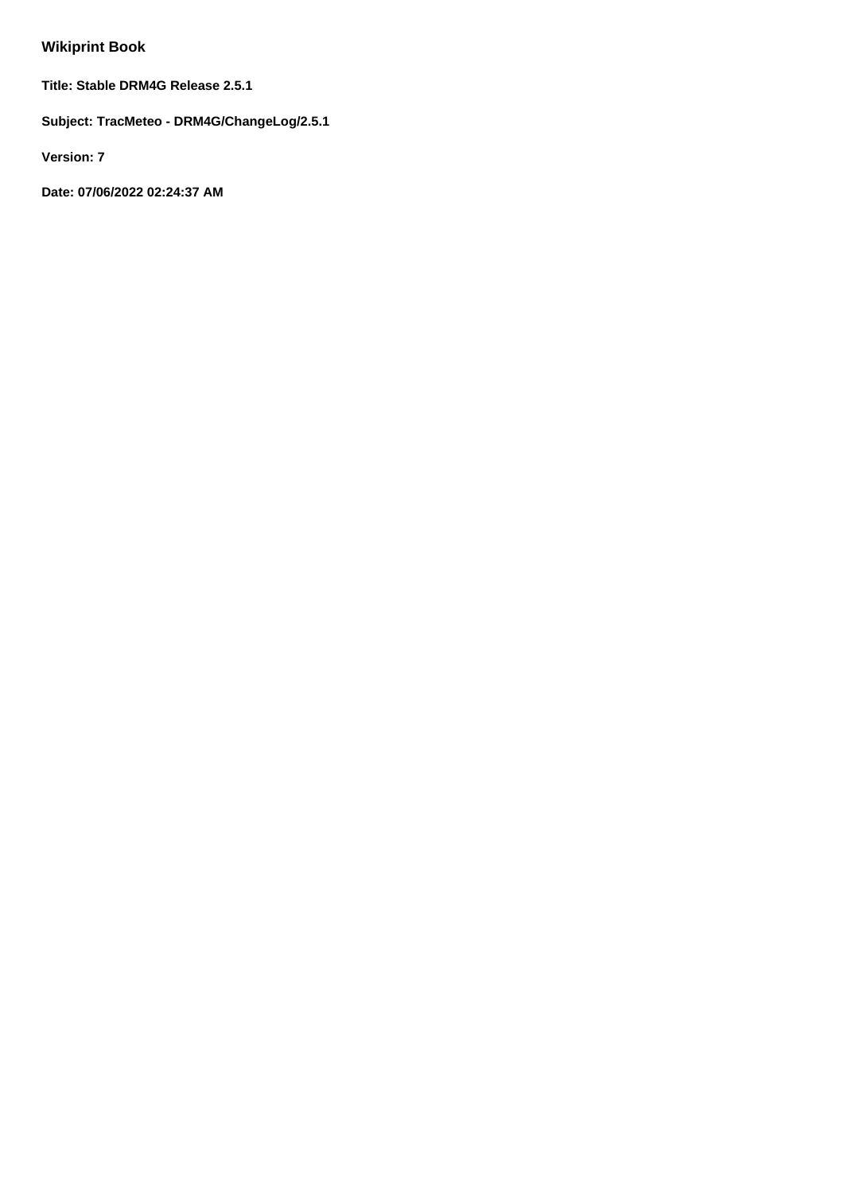# **Wikiprint Book**

**Title: Stable DRM4G Release 2.5.1**

**Subject: TracMeteo - DRM4G/ChangeLog/2.5.1**

**Version: 7**

**Date: 07/06/2022 02:24:37 AM**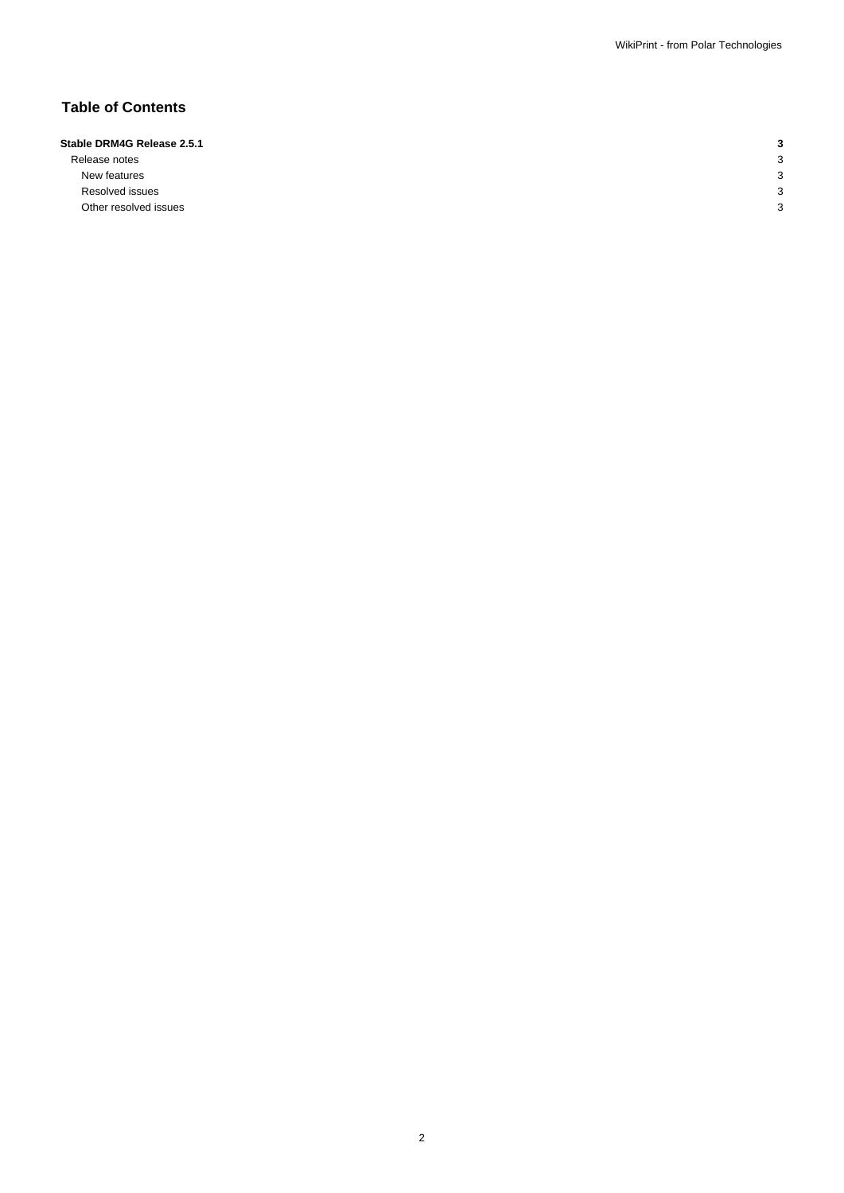## **Table of Contents**

#### **Stable DRM4G Release 2.5.1 3**

Release notes 3 New features 3. All the state of the state of the state of the state of the state of the state of the state of the state of the state of the state of the state of the state of the state of the state of the state of the sta Resolved issues 33 Other resolved issues 3